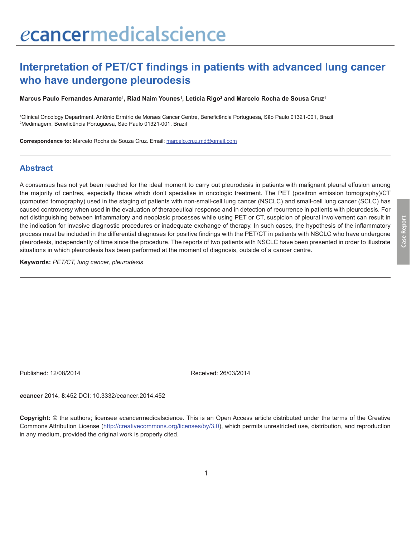# **Interpretation of PET/CT findings in patients with advanced lung cancer who have undergone pleurodesis**

**Marcus Paulo Fernandes Amarante1 , Riad Naim Younes1 , Letícia Rigo2 and Marcelo Rocha de Sousa Cruz1**

1 Clinical Oncology Department, Antônio Ermírio de Moraes Cancer Centre, Beneficência Portuguesa, São Paulo 01321-001, Brazil 2 Medimagem, Beneficência Portuguesa, São Paulo 01321-001, Brazil

**Correspondence to:** Marcelo Rocha de Souza Cruz. Email: marcelo.cruz.md@gmail.com

#### **Abstract**

A consensus has not yet been reached for the ideal moment to carry out pleurodesis in patients with malignant pleural effusion among the majority of centres, especially those which don't specialise in oncologic treatment. The PET (positron emission tomography)/CT (computed tomography) used in the staging of patients with non-small-cell lung cancer (NSCLC) and small-cell lung cancer (SCLC) has caused controversy when used in the evaluation of therapeutical response and in detection of recurrence in patients with pleurodesis. For not distinguishing between inflammatory and neoplasic processes while using PET or CT, suspicion of pleural involvement can result in the indication for invasive diagnostic procedures or inadequate exchange of therapy. In such cases, the hypothesis of the inflammatory process must be included in the differential diagnoses for positive findings with the PET/CT in patients with NSCLC who have undergone pleurodesis, independently of time since the procedure. The reports of two patients with NSCLC have been presented in order to illustrate situations in which pleurodesis has been performed at the moment of diagnosis, outside of a cancer centre.

**Keywords:** *PET/CT, lung cancer, pleurodesis*

Published: 12/08/2014 Received: 26/03/2014

*e***cancer** 2014, **8**:452 DOI: 10.3332/ecancer.2014.452

**Copyright:** © the authors; licensee *e*cancermedicalscience. This is an Open Access article distributed under the terms of the Creative Commons Attribution License (http://creativecommons.org/licenses/by/3.0), which permits unrestricted use, distribution, and reproduction in any medium, provided the original work is properly cited.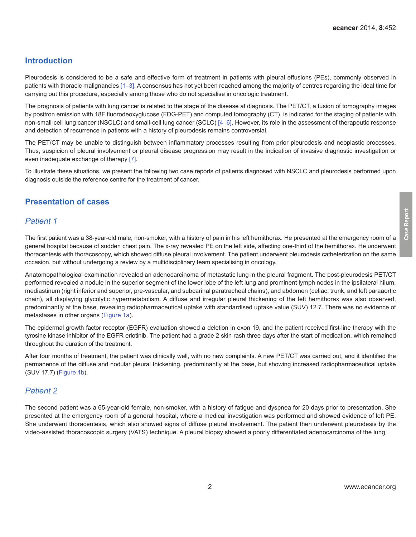## **Introduction**

Pleurodesis is considered to be a safe and effective form of treatment in patients with pleural effusions (PEs), commonly observed in patients with thoracic malignancies [\[1–](#page-4-0)[3\]](#page-5-0). A consensus has not yet been reached among the majority of centres regarding the ideal time for carrying out this procedure, especially among those who do not specialise in oncologic treatment.

The prognosis of patients with lung cancer is related to the stage of the disease at diagnosis. The PET/CT, a fusion of tomography images by positron emission with 18F fluorodeoxyglucose (FDG-PET) and computed tomography (CT), is indicated for the staging of patients with non-small-cell lung cancer (NSCLC) and small-cell lung cancer (SCLC) [\[4–6\].](#page-5-0) However, its role in the assessment of therapeutic response and detection of recurrence in patients with a history of pleurodesis remains controversial.

The PET/CT may be unable to distinguish between inflammatory processes resulting from prior pleurodesis and neoplastic processes. Thus, suspicion of pleural involvement or pleural disease progression may result in the indication of invasive diagnostic investigation or even inadequate exchange of therapy [\[7\]](#page-5-0).

To illustrate these situations, we present the following two case reports of patients diagnosed with NSCLC and pleurodesis performed upon diagnosis outside the reference centre for the treatment of cancer.

## **Presentation of cases**

## *Patient 1*

The first patient was a 38-year-old male, non-smoker, with a history of pain in his left hemithorax. He presented at the emergency room of a general hospital because of sudden chest pain. The x-ray revealed PE on the left side, affecting one-third of the hemithorax. He underwent thoracentesis with thoracoscopy, which showed diffuse pleural involvement. The patient underwent pleurodesis catheterization on the same occasion, but without undergoing a review by a multidisciplinary team specialising in oncology.

Anatomopathological examination revealed an adenocarcinoma of metastatic lung in the pleural fragment. The post-pleurodesis PET/CT performed revealed a nodule in the superior segment of the lower lobe of the left lung and prominent lymph nodes in the ipsilateral hilum, mediastinum (right inferior and superior, pre-vascular, and subcarinal paratracheal chains), and abdomen (celiac, trunk, and left paraaortic chain), all displaying glycolytic hypermetabolism. A diffuse and irregular pleural thickening of the left hemithorax was also observed, predominantly at the base, revealing radiopharmaceutical uptake with standardised uptake value (SUV) 12.7. There was no evidence of metastases in other organs [\(Figure 1a\)](#page-2-0).

The epidermal growth factor receptor (EGFR) evaluation showed a deletion in exon 19, and the patient received first-line therapy with the tyrosine kinase inhibitor of the EGFR erlotinib. The patient had a grade 2 skin rash three days after the start of medication, which remained throughout the duration of the treatment.

After four months of treatment, the patient was clinically well, with no new complaints. A new PET/CT was carried out, and it identified the permanence of the diffuse and nodular pleural thickening, predominantly at the base, but showing increased radiopharmaceutical uptake (SUV 17.7) ([Figure 1b](#page-2-0)).

# *Patient 2*

The second patient was a 65-year-old female, non-smoker, with a history of fatigue and dyspnea for 20 days prior to presentation. She presented at the emergency room of a general hospital, where a medical investigation was performed and showed evidence of left PE. She underwent thoracentesis, which also showed signs of diffuse pleural involvement. The patient then underwent pleurodesis by the video-assisted thoracoscopic surgery (VATS) technique. A pleural biopsy showed a poorly differentiated adenocarcinoma of the lung.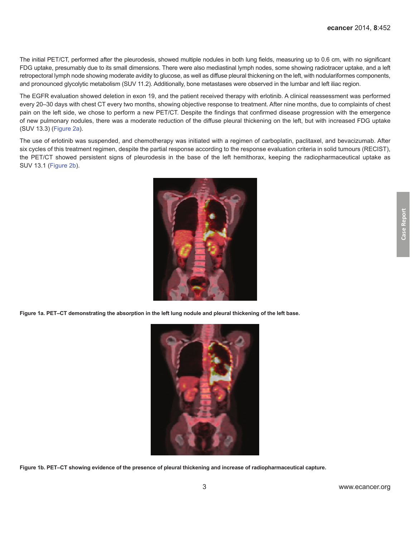<span id="page-2-0"></span>The initial PET/CT, performed after the pleurodesis, showed multiple nodules in both lung fields, measuring up to 0.6 cm, with no significant FDG uptake, presumably due to its small dimensions. There were also mediastinal lymph nodes, some showing radiotracer uptake, and a left retropectoral lymph node showing moderate avidity to glucose, as well as diffuse pleural thickening on the left, with nodulariformes components, and pronounced glycolytic metabolism (SUV 11.2). Additionally, bone metastases were observed in the lumbar and left iliac region.

The EGFR evaluation showed deletion in exon 19, and the patient received therapy with erlotinib. A clinical reassessment was performed every 20–30 days with chest CT every two months, showing objective response to treatment. After nine months, due to complaints of chest pain on the left side, we chose to perform a new PET/CT. Despite the findings that confirmed disease progression with the emergence of new pulmonary nodules, there was a moderate reduction of the diffuse pleural thickening on the left, but with increased FDG uptake (SUV 13.3) ([Figure 2a](#page-3-0)).

The use of erlotinib was suspended, and chemotherapy was initiated with a regimen of carboplatin, paclitaxel, and bevacizumab. After six cycles of this treatment regimen, despite the partial response according to the response evaluation criteria in solid tumours (RECIST), the PET/CT showed persistent signs of pleurodesis in the base of the left hemithorax, keeping the radiopharmaceutical uptake as SUV 13.1 ([Figure 2b\)](#page-3-0).



**Figure 1a. PET–CT demonstrating the absorption in the left lung nodule and pleural thickening of the left base.**



**Figure 1b. PET–CT showing evidence of the presence of pleural thickening and increase of radiopharmaceutical capture.**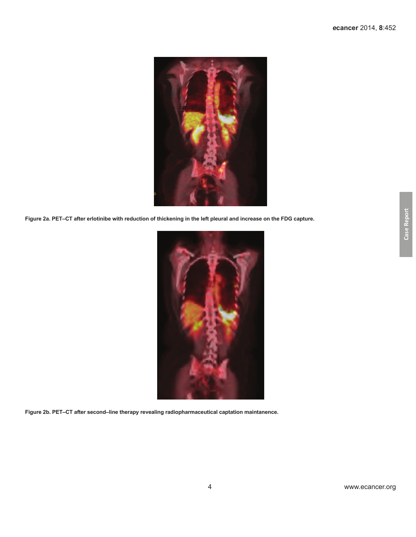<span id="page-3-0"></span>

**Figure 2a. PET–CT after erlotinibe with reduction of thickening in the left pleural and increase on the FDG capture.**



**Figure 2b. PET–CT after second–line therapy revealing radiopharmaceutical captation maintanence.**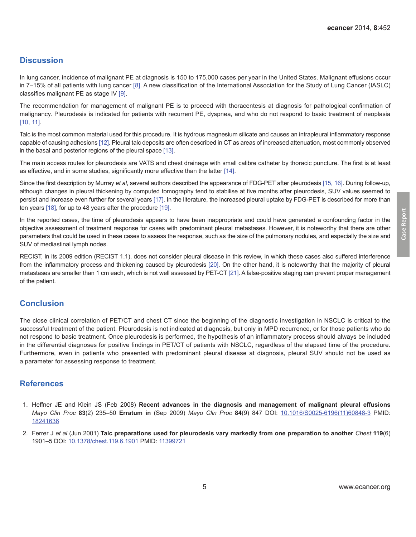**Case Report**

Case Report

## <span id="page-4-0"></span>**Discussion**

In lung cancer, incidence of malignant PE at diagnosis is 150 to 175,000 cases per year in the United States. Malignant effusions occur in 7–15% of all patients with lung cancer [\[8\]](#page-5-0). A new classification of the International Association for the Study of Lung Cancer (IASLC) classifies malignant PE as stage IV [\[9\]](#page-5-0).

The recommendation for management of malignant PE is to proceed with thoracentesis at diagnosis for pathological confirmation of malignancy. Pleurodesis is indicated for patients with recurrent PE, dyspnea, and who do not respond to basic treatment of neoplasia [\[10, 11\].](#page-5-0)

Talc is the most common material used for this procedure. It is hydrous magnesium silicate and causes an intrapleural inflammatory response capable of causing adhesions [\[12\]](#page-5-0). Pleural talc deposits are often described in CT as areas of increased attenuation, most commonly observed in the basal and posterior regions of the pleural space [\[13\]](#page-5-0).

The main access routes for pleurodesis are VATS and chest drainage with small calibre catheter by thoracic puncture. The first is at least as effective, and in some studies, significantly more effective than the latter [\[14\].](#page-5-0)

Since the first description by Murray *et al*, several authors described the appearance of FDG-PET after pleurodesis [\[15, 16\]](#page-5-0). During follow-up, although changes in pleural thickening by computed tomography tend to stabilise at five months after pleurodesis, SUV values seemed to persist and increase even further for several years [\[17\]](#page-5-0). In the literature, the increased pleural uptake by FDG-PET is described for more than ten years [\[18\]](#page-5-0), for up to 48 years after the procedure [\[19\]](#page-5-0).

In the reported cases, the time of pleurodesis appears to have been inappropriate and could have generated a confounding factor in the objective assessment of treatment response for cases with predominant pleural metastases. However, it is noteworthy that there are other parameters that could be used in these cases to assess the response, such as the size of the pulmonary nodules, and especially the size and SUV of mediastinal lymph nodes.

RECIST, in its 2009 edition (RECIST 1.1), does not consider pleural disease in this review, in which these cases also suffered interference from the inflammatory process and thickening caused by pleurodesis [\[20\].](#page-5-0) On the other hand, it is noteworthy that the majority of pleural metastases are smaller than 1 cm each, which is not well assessed by PET-CT [\[21\]](#page-5-0). A false-positive staging can prevent proper management of the patient.

## **Conclusion**

The close clinical correlation of PET/CT and chest CT since the beginning of the diagnostic investigation in NSCLC is critical to the successful treatment of the patient. Pleurodesis is not indicated at diagnosis, but only in MPD recurrence, or for those patients who do not respond to basic treatment. Once pleurodesis is performed, the hypothesis of an inflammatory process should always be included in the differential diagnoses for positive findings in PET/CT of patients with NSCLC, regardless of the elapsed time of the procedure. Furthermore, even in patients who presented with predominant pleural disease at diagnosis, pleural SUV should not be used as a parameter for assessing response to treatment.

#### **References**

- 1. Heffner JE and Klein JS (Feb 2008) **Recent advances in the diagnosis and management of malignant pleural effusions**  *Mayo Clin Proc* **83**(2) 235–50 **Erratum in** (Sep 2009) *Mayo Clin Proc* **84**(9) 847 DOI: [10.1016/S0025-6196\(11\)60848-](http://dx.doi.org/10.1016/S0025-6196(11)60848-3)3 PMID: [18241636](http://www.ncbi.nlm.nih.gov/pubmed/18241636)
- 2. Ferrer J *et al* (Jun 2001) **Talc preparations used for pleurodesis vary markedly from one preparation to another** *Chest* **119**(6) 1901–5 DOI: [10.1378/chest.119.6.1901](http://dx.doi.org/10.1378/chest.119.6.1901) PMID: [11399721](http://www.ncbi.nlm.nih.gov/pubmed/11399721)